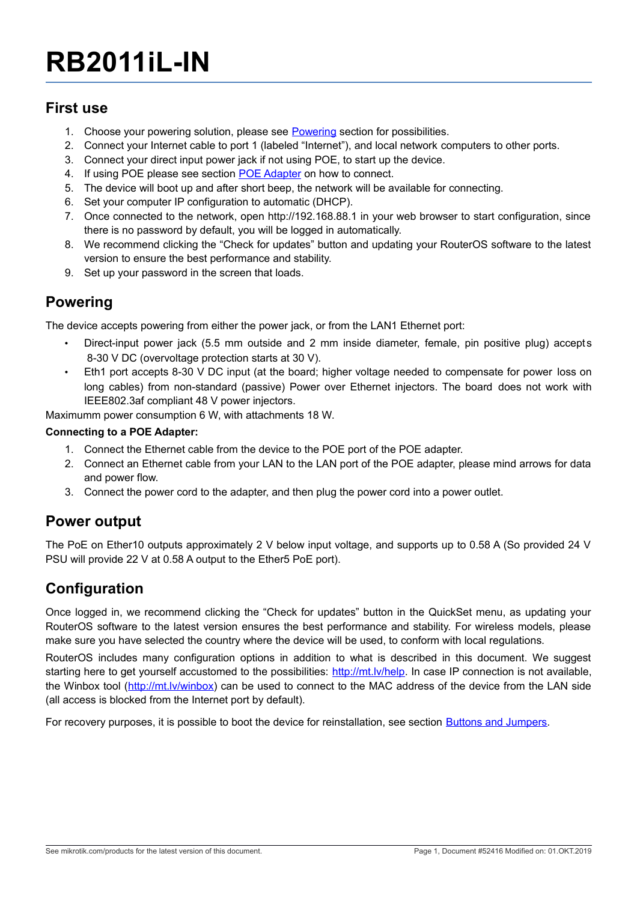# **RB2011iL-IN**

#### **First use**

- 1. Choose your powering solution, please see [Powering](#page-0-0) section for possibilities.
- 2. Connect your Internet cable to port 1 (labeled "Internet"), and local network computers to other ports.
- 3. Connect your direct input power jack if not using POE, to start up the device.
- 4. If using POE please see section [POE Adapter](#page-0-1) on how to connect.
- <span id="page-0-1"></span>5. The device will boot up and after short beep, the network will be available for connecting.
- 6. Set your computer IP configuration to automatic (DHCP).
- 7. Once connected to the network, open http://192.168.88.1 in your web browser to start configuration, since there is no password by default, you will be logged in automatically.
- 8. We recommend clicking the "Check for updates" button and updating your RouterOS software to the latest version to ensure the best performance and stability.
- 9. Set up your password in the screen that loads.

#### <span id="page-0-0"></span>**Powering**

The device accepts powering from either the power jack, or from the LAN1 Ethernet port:

- Direct-input power jack (5.5 mm outside and 2 mm inside diameter, female, pin positive plug) accepts 8-30 V DC (overvoltage protection starts at 30 V).
- Eth1 port accepts 8-30 V DC input (at the board; higher voltage needed to compensate for power loss on long cables) from non-standard (passive) Power over Ethernet injectors. The board does not work with IEEE802.3af compliant 48 V power injectors.

Maximumm power consumption 6 W, with attachments 18 W.

#### **Connecting to a POE Adapter:**

- 1. Connect the Ethernet cable from the device to the POE port of the POE adapter.
- 2. Connect an Ethernet cable from your LAN to the LAN port of the POE adapter, please mind arrows for data and power flow.
- 3. Connect the power cord to the adapter, and then plug the power cord into a power outlet.

#### **Power output**

The PoE on Ether10 outputs approximately 2 V below input voltage, and supports up to 0.58 A (So provided 24 V PSU will provide 22 V at 0.58 A output to the Ether5 PoE port).

### **Configuration**

Once logged in, we recommend clicking the "Check for updates" button in the QuickSet menu, as updating your RouterOS software to the latest version ensures the best performance and stability. For wireless models, please make sure you have selected the country where the device will be used, to conform with local regulations.

RouterOS includes many configuration options in addition to what is described in this document. We suggest starting here to get yourself accustomed to the possibilities: [http://mt.lv/help.](http://mt.lv/help) In case IP connection is not available, the Winbox tool [\(http://mt.lv/winbox\)](http://mt.lv/winbox) can be used to connect to the MAC address of the device from the LAN side (all access is blocked from the Internet port by default).

For recovery purposes, it is possible to boot the device for reinstallation, see section [Buttons and Jumpers.](#page-1-0)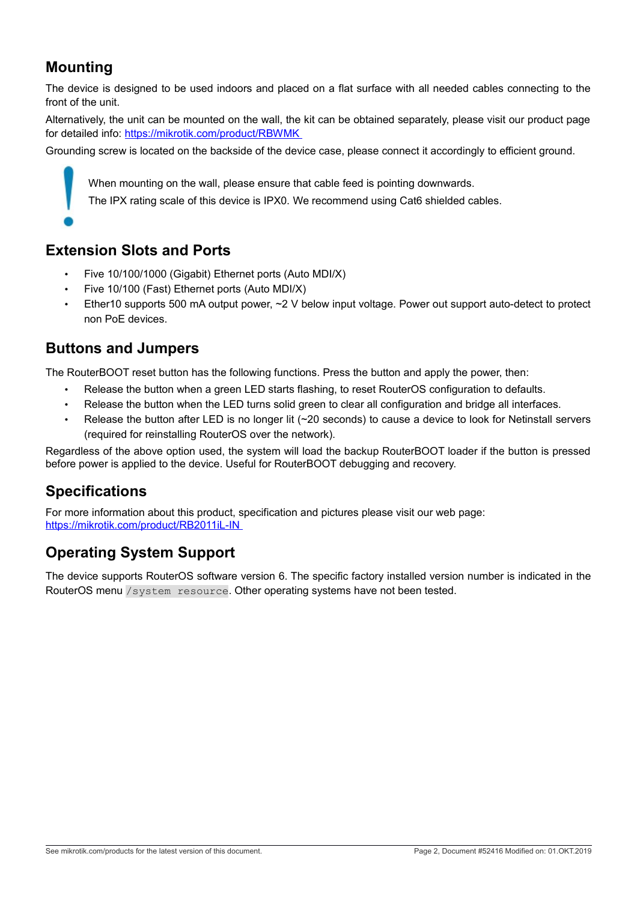## **Mounting**

The device is designed to be used indoors and placed on a flat surface with all needed cables connecting to the front of the unit.

Alternatively, the unit can be mounted on the wall, the kit can be obtained separately, please visit our product page for detailed info:<https://mikrotik.com/product/RBWMK>

Grounding screw is located on the backside of the device case, please connect it accordingly to efficient ground.

When mounting on the wall, please ensure that cable feed is pointing downwards.

The IPX rating scale of this device is IPX0. We recommend using Cat6 shielded cables.

#### **Extension Slots and Ports**

- Five 10/100/1000 (Gigabit) Ethernet ports (Auto MDI/X)
- Five 10/100 (Fast) Ethernet ports (Auto MDI/X)
- Ether10 supports 500 mA output power, ~2 V below input voltage. Power out support auto-detect to protect non PoE devices.

#### <span id="page-1-0"></span>**Buttons and Jumpers**

The RouterBOOT reset button has the following functions. Press the button and apply the power, then:

- Release the button when a green LED starts flashing, to reset RouterOS configuration to defaults.
- Release the button when the LED turns solid green to clear all configuration and bridge all interfaces.
- Release the button after LED is no longer lit (~20 seconds) to cause a device to look for Netinstall servers (required for reinstalling RouterOS over the network).

Regardless of the above option used, the system will load the backup RouterBOOT loader if the button is pressed before power is applied to the device. Useful for RouterBOOT debugging and recovery.

#### **Specifications**

For more information about this product, specification and pictures please visit our web page: <https://mikrotik.com/product/RB2011iL-IN>

# **Operating System Support**

The device supports RouterOS software version 6. The specific factory installed version number is indicated in the RouterOS menu /system resource. Other operating systems have not been tested.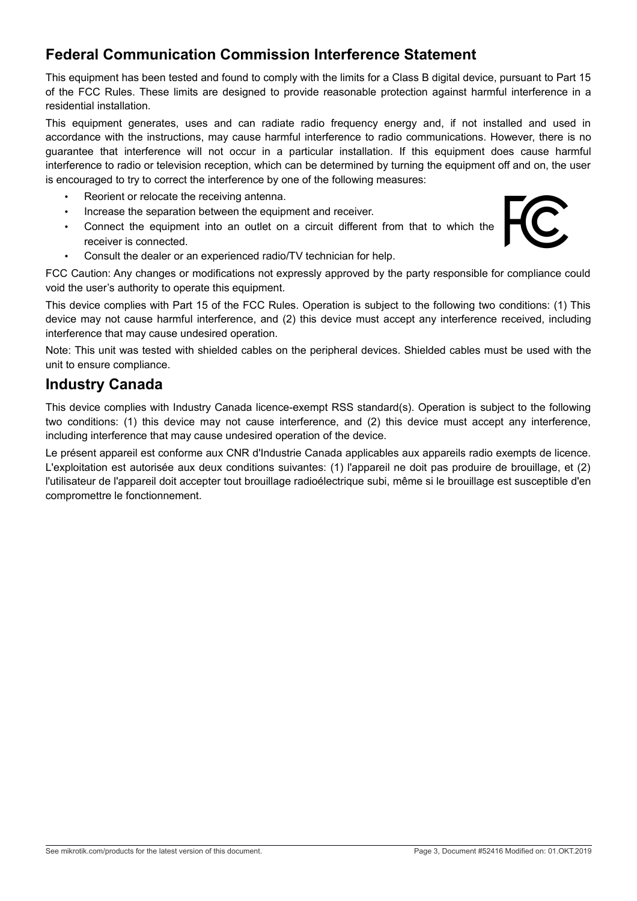## **Federal Communication Commission Interference Statement**

This equipment has been tested and found to comply with the limits for a Class B digital device, pursuant to Part 15 of the FCC Rules. These limits are designed to provide reasonable protection against harmful interference in a residential installation.

This equipment generates, uses and can radiate radio frequency energy and, if not installed and used in accordance with the instructions, may cause harmful interference to radio communications. However, there is no guarantee that interference will not occur in a particular installation. If this equipment does cause harmful interference to radio or television reception, which can be determined by turning the equipment off and on, the user is encouraged to try to correct the interference by one of the following measures:

- Reorient or relocate the receiving antenna.
- Increase the separation between the equipment and receiver.
- Connect the equipment into an outlet on a circuit different from that to which the receiver is connected.
- Consult the dealer or an experienced radio/TV technician for help.

FCC Caution: Any changes or modifications not expressly approved by the party responsible for compliance could void the user's authority to operate this equipment.

This device complies with Part 15 of the FCC Rules. Operation is subject to the following two conditions: (1) This device may not cause harmful interference, and (2) this device must accept any interference received, including interference that may cause undesired operation.

Note: This unit was tested with shielded cables on the peripheral devices. Shielded cables must be used with the unit to ensure compliance.

#### **Industry Canada**

This device complies with Industry Canada licence-exempt RSS standard(s). Operation is subject to the following two conditions: (1) this device may not cause interference, and (2) this device must accept any interference, including interference that may cause undesired operation of the device.

Le présent appareil est conforme aux CNR d'Industrie Canada applicables aux appareils radio exempts de licence. L'exploitation est autorisée aux deux conditions suivantes: (1) l'appareil ne doit pas produire de brouillage, et (2) l'utilisateur de l'appareil doit accepter tout brouillage radioélectrique subi, même si le brouillage est susceptible d'en compromettre le fonctionnement.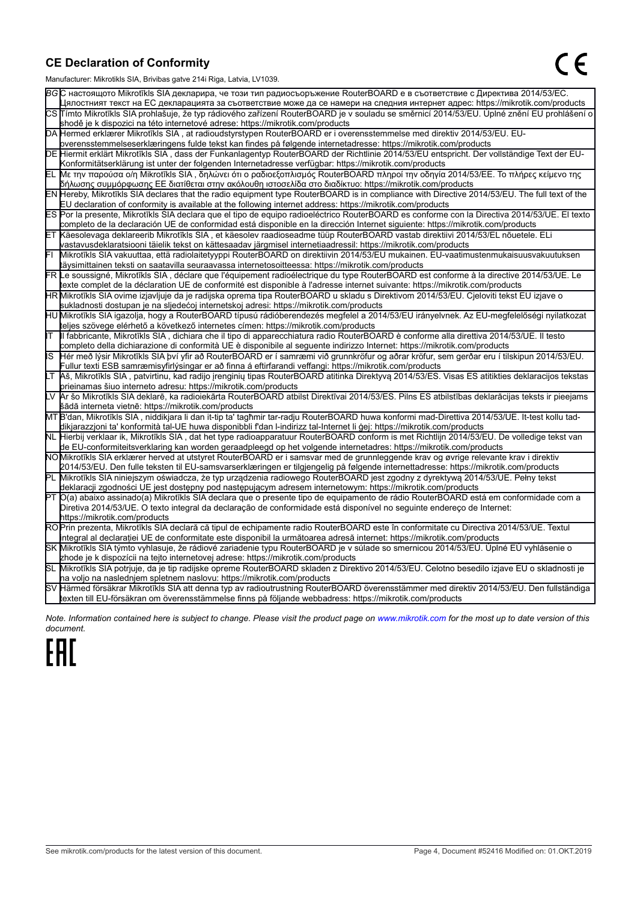#### **CE Declaration of Conformity**

Manufacturer: Mikrotikls SIA, Brivibas gatve 214i Riga, Latvia, LV1039.

|    | ividiTulacturer. Mintounis OIA, Difvidas gatve Z 141 inga, Latvia, Lv 1009.                                                                                                                                       |
|----|-------------------------------------------------------------------------------------------------------------------------------------------------------------------------------------------------------------------|
|    | ВСС настоящото Mikrotīkls SIA декларира, че този тип радиосъоръжение RouterBOARD е в съответствие с Директива 2014/53/EC.                                                                                         |
|    | Цялостният текст на ЕС декларацията за съответствие може да се намери на следния интернет адрес: https://mikrotik.com/products                                                                                    |
|    | CS∏ímto Mikrotīkls SIA prohlašuje, že typ rádiového zařízení RouterBOARD je v souladu se směrnicí 2014/53/EU. Úplné znění EU prohlášení o                                                                         |
|    | shodě je k dispozici na této internetové adrese: https://mikrotik.com/products                                                                                                                                    |
|    | DA Hermed erklærer Mikrotīkls SIA, at radioudstyrstypen RouterBOARD er i overensstemmelse med direktiv 2014/53/EU. EU-                                                                                            |
|    | overensstemmelseserklæringens fulde tekst kan findes på følgende internetadresse: https://mikrotik.com/products                                                                                                   |
|    | DE Hiermit erklärt Mikrotīkls SIA , dass der Funkanlagentyp RouterBOARD der Richtlinie 2014/53/EU entspricht. Der vollständige Text der EU-                                                                       |
|    | Konformitätserklärung ist unter der folgenden Internetadresse verfügbar: https://mikrotik.com/products                                                                                                            |
|    | ΕL Με την παρούσα ο/η Mikrotīkls SIA , δηλώνει ότι ο ραδιοεξοπλισμός RouterBOARD πληροί την οδηγία 2014/53/ΕΕ. Το πλήρες κείμενο της                                                                              |
|    | δήλωσης συμμόρφωσης ΕΕ διατίθεται στην ακόλουθη ιστοσελίδα στο διαδίκτυο: https://mikrotik.com/products                                                                                                           |
|    | EN Hereby, Mikrotīkls SIA declares that the radio equipment type RouterBOARD is in compliance with Directive 2014/53/EU. The full text of the                                                                     |
|    | EU declaration of conformity is available at the following internet address: https://mikrotik.com/products                                                                                                        |
|    | ES Por la presente, Mikrotīkls SIA declara que el tipo de equipo radioeléctrico RouterBOARD es conforme con la Directiva 2014/53/UE. El texto                                                                     |
|    | completo de la declaración UE de conformidad está disponible en la dirección Internet siguiente: https://mikrotik.com/products                                                                                    |
|    | ET Käesolevaga deklareerib Mikrotīkls SIA , et käesolev raadioseadme tüüp RouterBOARD vastab direktiivi 2014/53/EL nõuetele. ELi                                                                                  |
|    | vastavusdeklaratsiooni täielik tekst on kättesaadav järgmisel internetiaadressil: https://mikrotik.com/products                                                                                                   |
|    | Mikrotīkls SIA vakuuttaa, että radiolaitetyyppi RouterBOARD on direktiivin 2014/53/EU mukainen. EU-vaatimustenmukaisuusvakuutuksen                                                                                |
|    | täysimittainen teksti on saatavilla seuraavassa internetosoitteessa: https://mikrotik.com/products                                                                                                                |
|    | FR Le soussigné, Mikrotīkls SIA , déclare que l'équipement radioélectrique du type RouterBOARD est conforme à la directive 2014/53/UE. Le                                                                         |
|    | texte complet de la déclaration UE de conformité est disponible à l'adresse internet suivante: https://mikrotik.com/products                                                                                      |
|    | HR Mikrotīkls SIA ovime izjavljuje da je radijska oprema tipa RouterBOARD u skladu s Direktivom 2014/53/EU. Cjeloviti tekst EU izjave o                                                                           |
|    | sukladnosti dostupan je na sljedećoj internetskoj adresi: https://mikrotik.com/products                                                                                                                           |
|    | HU Mikrotīkls SIA igazolja, hogy a RouterBOARD típusú rádióberendezés megfelel a 2014/53/EU irányelvnek. Az EU-megfelelőségi nyilatkozat                                                                          |
|    | teljes szövege elérhető a következő internetes címen: https://mikrotik.com/products                                                                                                                               |
|    | Il fabbricante, Mikrotīkls SIA, dichiara che il tipo di apparecchiatura radio RouterBOARD è conforme alla direttiva 2014/53/UE. Il testo                                                                          |
|    | completo della dichiarazione di conformità UE è disponibile al seguente indirizzo Internet: https://mikrotik.com/products                                                                                         |
| IS | Hér með lýsir Mikrotīkls SIA því yfir að RouterBOARD er í samræmi við grunnkröfur og aðrar kröfur, sem gerðar eru í tilskipun 2014/53/EU.                                                                         |
|    | Fullur texti ESB samræmisyfirlýsingar er að finna á eftirfarandi veffangi: https://mikrotik.com/products                                                                                                          |
|    | Aš, Mikrotīkls SIA, patvirtinu, kad radijo įrenginių tipas RouterBOARD atitinka Direktyvą 2014/53/ES. Visas ES atitikties deklaracijos tekstas<br>prieinamas šiuo interneto adresu: https://mikrotik.com/products |
|    | Ar šo Mikrotīkls SIA deklarē, ka radioiekārta RouterBOARD atbilst Direktīvai 2014/53/ES. Pilns ES atbilstības deklarācijas teksts ir pieejams                                                                     |
|    | šādā interneta vietnē: https://mikrotik.com/products                                                                                                                                                              |
|    | MT B'dan, Mikrotīkls SIA, niddikjara li dan it-tip ta' tagħmir tar-radju RouterBOARD huwa konformi mad-Direttiva 2014/53/UE. It-test kollu tad-                                                                   |
|    | dikjarazzjoni ta' konformità tal-UE huwa disponibbli f'dan l-indirizz tal-Internet li ġej: https://mikrotik.com/products                                                                                          |
|    | NL  Hierbij verklaar ik, Mikrotīkls SIA , dat het type radioapparatuur RouterBOARD conform is met Richtlijn 2014/53/EU. De volledige tekst van                                                                    |
|    | de EU-conformiteitsverklaring kan worden geraadpleegd op het volgende internetadres: https://mikrotik.com/products                                                                                                |
|    | NOMikrotīkls SIA erklærer herved at utstyret RouterBOARD er i samsvar med de grunnleggende krav og øvrige relevante krav i direktiv                                                                               |
|    | 2014/53/EU. Den fulle teksten til EU-samsvarserklæringen er tilgjengelig på følgende internettadresse: https://mikrotik.com/products                                                                              |
|    | PL Mikrotīkls SIA niniejszym oświadcza, że typ urządzenia radiowego RouterBOARD jest zgodny z dyrektywą 2014/53/UE. Pełny tekst                                                                                   |
|    | deklaracji zgodności UE jest dostępny pod następującym adresem internetowym: https://mikrotik.com/products                                                                                                        |
|    | PT O(a) abaixo assinado(a) Mikrotīkls SIA declara que o presente tipo de equipamento de rádio RouterBOARD está em conformidade com a                                                                              |
|    | Diretiva 2014/53/UE. O texto integral da declaração de conformidade está disponível no seguinte endereço de Internet:                                                                                             |
|    | https://mikrotik.com/products                                                                                                                                                                                     |
|    | ROPrin prezenta, Mikrotīkls SIA declară că tipul de echipamente radio RouterBOARD este în conformitate cu Directiva 2014/53/UE. Textul                                                                            |
|    | integral al declaratiei UE de conformitate este disponibil la următoarea adresă internet: https://mikrotik.com/products                                                                                           |
|    | SK Mikrotīkls SIA týmto vyhlasuje, že rádiové zariadenie typu RouterBOARD je v súlade so smernicou 2014/53/EÚ. Úplné EÚ vyhlásenie o                                                                              |
|    | zhode je k dispozícii na tejto internetovej adrese: https://mikrotik.com/products                                                                                                                                 |
|    | SL Mikrotīkls SIA potrjuje, da je tip radijske opreme RouterBOARD skladen z Direktivo 2014/53/EU. Celotno besedilo izjave EU o skladnosti je                                                                      |
|    | na voljo na naslednjem spletnem naslovu: https://mikrotik.com/products                                                                                                                                            |
|    | SV Härmed försäkrar Mikrotīkls SIA att denna typ av radioutrustning RouterBOARD överensstämmer med direktiv 2014/53/EU. Den fullständiga                                                                          |
|    | texten till EU-försäkran om överensstämmelse finns på följande webbadress: https://mikrotik.com/products                                                                                                          |

*Note. Information contained here is subject to change. Please visit the product page on [www.mikrotik.com](http://www.mikrotik.com/) for the most up to date version of this document.*